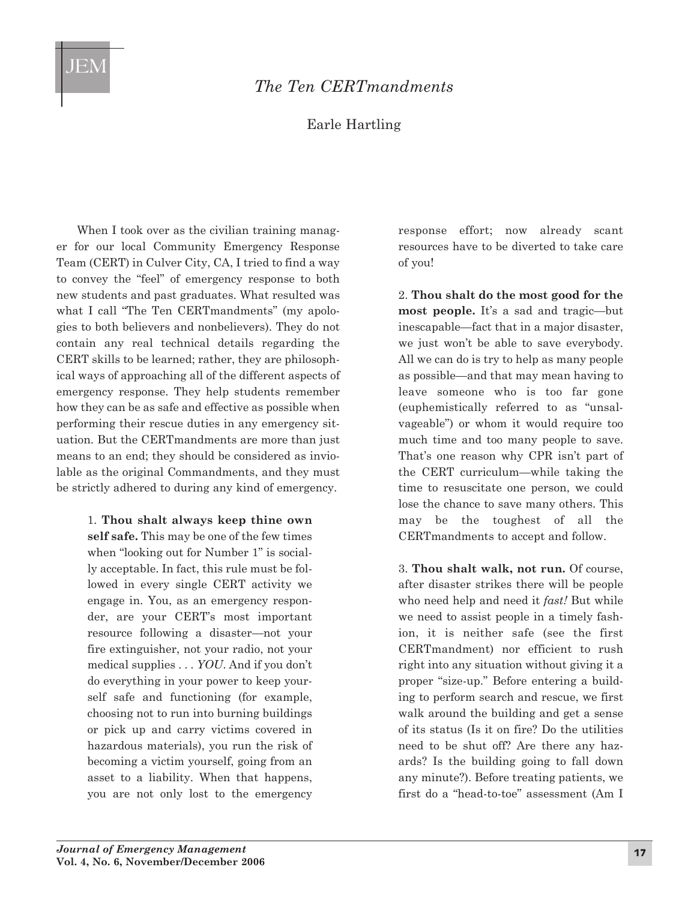

## *The Ten CERTmandments*

Earle Hartling

When I took over as the civilian training manager for our local Community Emergency Response Team (CERT) in Culver City, CA, I tried to find a way to convey the "feel" of emergency response to both new students and past graduates. What resulted was what I call "The Ten CERTmandments" (my apologies to both believers and nonbelievers). They do not contain any real technical details regarding the CERT skills to be learned; rather, they are philosophical ways of approaching all of the different aspects of emergency response. They help students remember how they can be as safe and effective as possible when performing their rescue duties in any emergency situation. But the CERTmandments are more than just means to an end; they should be considered as inviolable as the original Commandments, and they must be strictly adhered to during any kind of emergency.

1. **Thou shalt always keep thine own**

**self safe.** This may be one of the few times when "looking out for Number 1" is socially acceptable. In fact, this rule must be followed in every single CERT activity we engage in. You, as an emergency responder, are your CERT's most important resource following a disaster—not your fire extinguisher, not your radio, not your medical supplies . . . *YOU*. And if you don't do everything in your power to keep yourself safe and functioning (for example, choosing not to run into burning buildings or pick up and carry victims covered in hazardous materials), you run the risk of becoming a victim yourself, going from an asset to a liability. When that happens, you are not only lost to the emergency

response effort; now already scant resources have to be diverted to take care of you!

2. **Thou shalt do the most good for the most people.** It's a sad and tragic—but inescapable—fact that in a major disaster, we just won't be able to save everybody. All we can do is try to help as many people as possible—and that may mean having to leave someone who is too far gone (euphemistically referred to as "unsalvageable") or whom it would require too much time and too many people to save. That's one reason why CPR isn't part of the CERT curriculum—while taking the time to resuscitate one person, we could lose the chance to save many others. This may be the toughest of all the CERTmandments to accept and follow.

3. **Thou shalt walk, not run.** Of course, after disaster strikes there will be people who need help and need it *fast!* But while we need to assist people in a timely fashion, it is neither safe (see the first CERTmandment) nor efficient to rush right into any situation without giving it a proper "size-up." Before entering a building to perform search and rescue, we first walk around the building and get a sense of its status (Is it on fire? Do the utilities need to be shut off? Are there any hazards? Is the building going to fall down any minute?). Before treating patients, we first do a "head-to-toe" assessment (Am I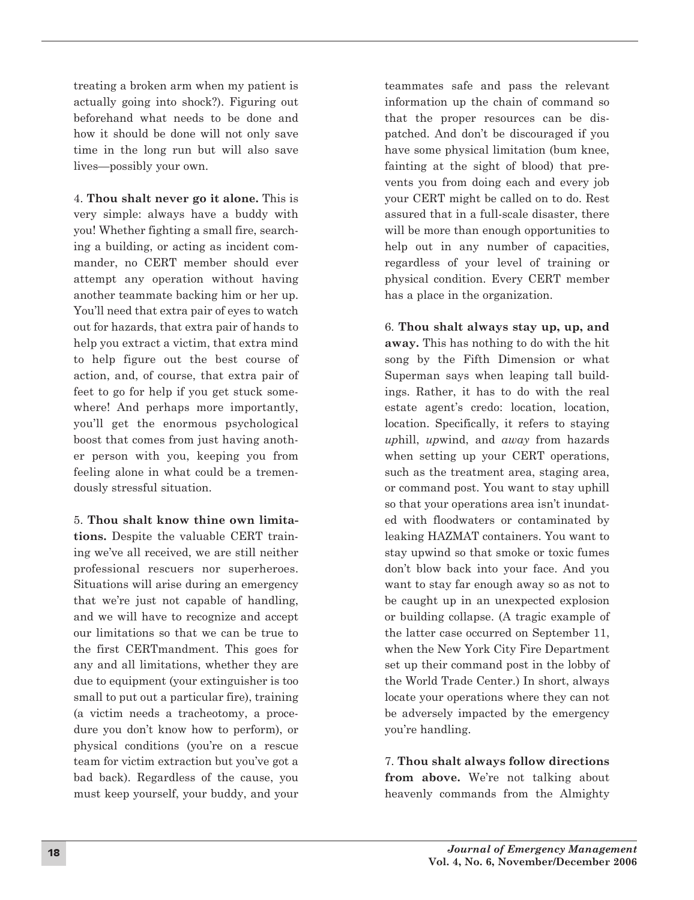treating a broken arm when my patient is actually going into shock?). Figuring out beforehand what needs to be done and how it should be done will not only save time in the long run but will also save lives—possibly your own.

4. **Thou shalt never go it alone.** This is very simple: always have a buddy with you! Whether fighting a small fire, searching a building, or acting as incident commander, no CERT member should ever attempt any operation without having another teammate backing him or her up. You'll need that extra pair of eyes to watch out for hazards, that extra pair of hands to help you extract a victim, that extra mind to help figure out the best course of action, and, of course, that extra pair of feet to go for help if you get stuck somewhere! And perhaps more importantly, you'll get the enormous psychological boost that comes from just having another person with you, keeping you from feeling alone in what could be a tremendously stressful situation.

5. **Thou shalt know thine own limitations.** Despite the valuable CERT training we've all received, we are still neither professional rescuers nor superheroes. Situations will arise during an emergency that we're just not capable of handling, and we will have to recognize and accept our limitations so that we can be true to the first CERTmandment. This goes for any and all limitations, whether they are due to equipment (your extinguisher is too small to put out a particular fire), training (a victim needs a tracheotomy, a procedure you don't know how to perform), or physical conditions (you're on a rescue team for victim extraction but you've got a bad back). Regardless of the cause, you must keep yourself, your buddy, and your

teammates safe and pass the relevant information up the chain of command so that the proper resources can be dispatched. And don't be discouraged if you have some physical limitation (bum knee, fainting at the sight of blood) that prevents you from doing each and every job your CERT might be called on to do. Rest assured that in a full-scale disaster, there will be more than enough opportunities to help out in any number of capacities, regardless of your level of training or physical condition. Every CERT member has a place in the organization.

6. **Thou shalt always stay up, up, and away.** This has nothing to do with the hit song by the Fifth Dimension or what Superman says when leaping tall buildings. Rather, it has to do with the real estate agent's credo: location, location, location. Specifically, it refers to staying *up*hill, *up*wind, and *away* from hazards when setting up your CERT operations, such as the treatment area, staging area, or command post. You want to stay uphill so that your operations area isn't inundated with floodwaters or contaminated by leaking HAZMAT containers. You want to stay upwind so that smoke or toxic fumes don't blow back into your face. And you want to stay far enough away so as not to be caught up in an unexpected explosion or building collapse. (A tragic example of the latter case occurred on September 11, when the New York City Fire Department set up their command post in the lobby of the World Trade Center.) In short, always locate your operations where they can not be adversely impacted by the emergency you're handling.

7. **Thou shalt always follow directions from above.** We're not talking about heavenly commands from the Almighty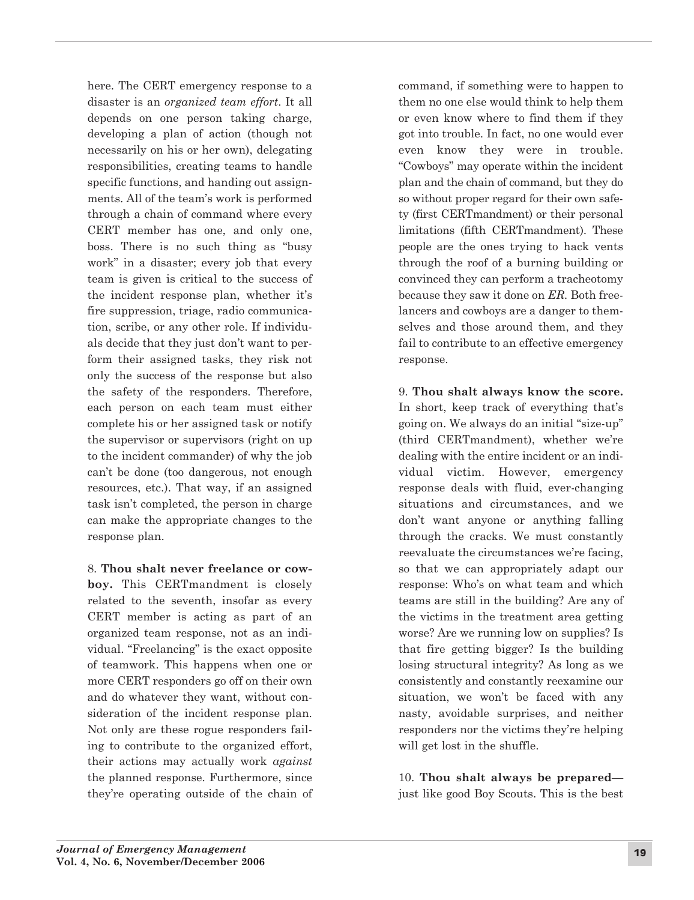here. The CERT emergency response to a disaster is an *organized team effort*. It all depends on one person taking charge, developing a plan of action (though not necessarily on his or her own), delegating responsibilities, creating teams to handle specific functions, and handing out assignments. All of the team's work is performed through a chain of command where every CERT member has one, and only one, boss. There is no such thing as "busy work" in a disaster; every job that every team is given is critical to the success of the incident response plan, whether it's fire suppression, triage, radio communication, scribe, or any other role. If individuals decide that they just don't want to perform their assigned tasks, they risk not only the success of the response but also the safety of the responders. Therefore, each person on each team must either complete his or her assigned task or notify the supervisor or supervisors (right on up to the incident commander) of why the job can't be done (too dangerous, not enough resources, etc.). That way, if an assigned task isn't completed, the person in charge can make the appropriate changes to the response plan.

8. **Thou shalt never freelance or cowboy.** This CERTmandment is closely related to the seventh, insofar as every CERT member is acting as part of an organized team response, not as an individual. "Freelancing" is the exact opposite of teamwork. This happens when one or more CERT responders go off on their own and do whatever they want, without consideration of the incident response plan. Not only are these rogue responders failing to contribute to the organized effort, their actions may actually work *against* the planned response. Furthermore, since they're operating outside of the chain of command, if something were to happen to them no one else would think to help them or even know where to find them if they got into trouble. In fact, no one would ever even know they were in trouble. "Cowboys" may operate within the incident plan and the chain of command, but they do so without proper regard for their own safety (first CERTmandment) or their personal limitations (fifth CERTmandment). These people are the ones trying to hack vents through the roof of a burning building or convinced they can perform a tracheotomy because they saw it done on *ER.* Both freelancers and cowboys are a danger to themselves and those around them, and they fail to contribute to an effective emergency response.

9. **Thou shalt always know the score.** In short, keep track of everything that's going on. We always do an initial "size-up" (third CERTmandment), whether we're dealing with the entire incident or an individual victim. However, emergency response deals with fluid, ever-changing situations and circumstances, and we don't want anyone or anything falling through the cracks. We must constantly reevaluate the circumstances we're facing, so that we can appropriately adapt our response: Who's on what team and which teams are still in the building? Are any of the victims in the treatment area getting worse? Are we running low on supplies? Is that fire getting bigger? Is the building losing structural integrity? As long as we consistently and constantly reexamine our situation, we won't be faced with any nasty, avoidable surprises, and neither responders nor the victims they're helping will get lost in the shuffle.

10. **Thou shalt always be prepared** just like good Boy Scouts. This is the best